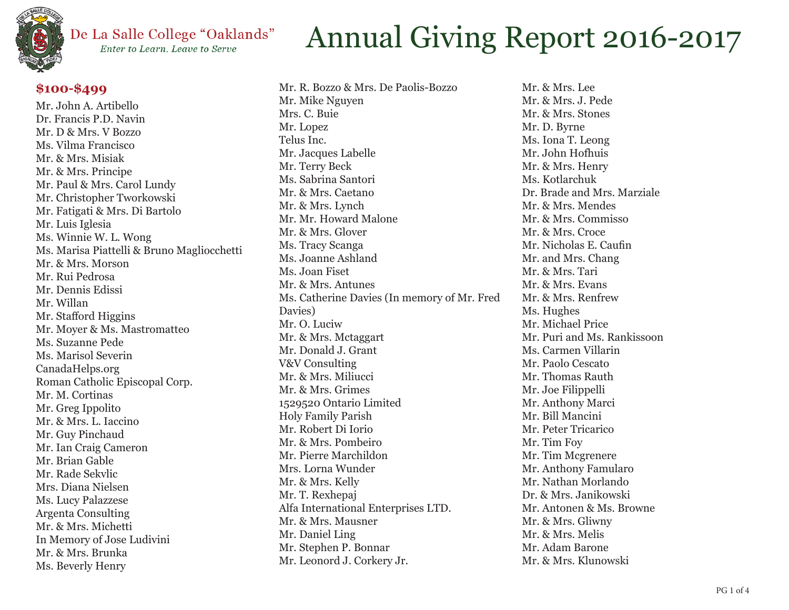

#### De La Salle College "Oaklands" Enter to Learn, Leave to Serve

### **\$100-\$499**

Mr. John A. Artibello Dr. Francis P.D. Navin Mr. D & Mrs. V Bozzo Ms. Vilma Francisco Mr. & Mrs. Misiak Mr. & Mrs. Principe Mr. Paul & Mrs. Carol Lundy Mr. Christopher Tworkowski Mr. Fatigati & Mrs. Di Bartolo Mr. Luis Iglesia Ms. Winnie W. L. Wong Ms. Marisa Piattelli & Bruno Magliocchetti Mr. & Mrs. Morson Mr. Rui Pedrosa Mr. Dennis Edissi Mr. Willan Mr. Stafford Higgins Mr. Moyer & Ms. Mastromatteo Ms. Suzanne Pede Ms. Marisol Severin CanadaHelps.org Roman Catholic Episcopal Corp. Mr. M. Cortinas Mr. Greg Ippolito Mr. & Mrs. L. Iaccino Mr. Guy Pinchaud Mr. Ian Craig Cameron Mr. Brian Gable Mr. Rade Sekvlic Mrs. Diana Nielsen Ms. Lucy Palazzese Argenta Consulting Mr. & Mrs. Michetti In Memory of Jose Ludivini Mr. & Mrs. Brunka Ms. Beverly Henry

## Annual Giving Report 2016-2017

Mr. R. Bozzo & Mrs. De Paolis-Bozzo Mr. Mike Nguyen Mrs. C. Buie Mr. Lopez Telus Inc. Mr. Jacques Labelle Mr. Terry Beck Ms. Sabrina Santori Mr. & Mrs. Caetano Mr. & Mrs. Lynch Mr. Mr. Howard Malone Mr. & Mrs. Glover Ms. Tracy Scanga Ms. Joanne Ashland Ms. Joan Fiset Mr. & Mrs. Antunes Ms. Catherine Davies (In memory of Mr. Fred Davies) Mr. O. Luciw Mr. & Mrs. Mctaggart Mr. Donald J. Grant V&V Consulting Mr. & Mrs. Miliucci Mr. & Mrs. Grimes 1529520 Ontario Limited Holy Family Parish Mr. Robert Di Iorio Mr. & Mrs. Pombeiro Mr. Pierre Marchildon Mrs. Lorna Wunder Mr. & Mrs. Kelly Mr. T. Rexhepaj Alfa International Enterprises LTD. Mr. & Mrs. Mausner Mr. Daniel Ling Mr. Stephen P. Bonnar Mr. Leonord J. Corkery Jr.

Mr. & Mrs. Lee Mr. & Mrs. J. Pede Mr. & Mrs. Stones Mr. D. Byrne Ms. Iona T. Leong Mr. John Hofhuis Mr. & Mrs. Henry Ms. Kotlarchuk Dr. Brade and Mrs. Marziale Mr. & Mrs. Mendes Mr. & Mrs. Commisso Mr. & Mrs. Croce Mr. Nicholas E. Caufin Mr. and Mrs. Chang Mr. & Mrs. Tari Mr. & Mrs. Evans Mr. & Mrs. Renfrew Ms. Hughes Mr. Michael Price Mr. Puri and Ms. Rankissoon Ms. Carmen Villarin Mr. Paolo Cescato Mr. Thomas Rauth Mr. Joe Filippelli Mr. Anthony Marci Mr. Bill Mancini Mr. Peter Tricarico Mr. Tim Foy Mr. Tim Mcgrenere Mr. Anthony Famularo Mr. Nathan Morlando Dr. & Mrs. Janikowski Mr. Antonen & Ms. Browne Mr. & Mrs. Gliwny Mr. & Mrs. Melis Mr. Adam Barone Mr. & Mrs. Klunowski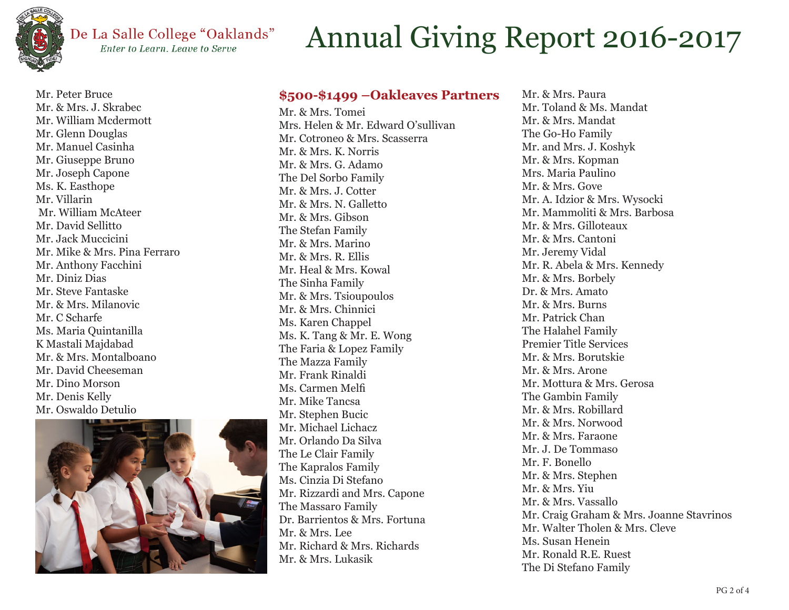

Mr. Peter Bruce

### De La Salle College "Oaklands" Enter to Learn. Leave to Serve

# Annual Giving Report 2016-2017

### **\$500-\$1499 –Oakleaves Partners**

Mr. & Mrs. J. Skrabec Mr. William Mcdermott Mr. Glenn Douglas Mr. Manuel Casinha Mr. Giuseppe Bruno Mr. Joseph Capone Ms. K. Easthope Mr. Villarin Mr. William McAteer Mr. David Sellitto Mr. Jack Muccicini Mr. Mike & Mrs. Pina Ferraro Mr. Anthony Facchini Mr. Diniz Dias Mr. Steve Fantaske Mr. & Mrs. Milanovic Mr. C Scharfe Ms. Maria Quintanilla K Mastali Majdabad Mr. & Mrs. Montalboano Mr. David Cheeseman Mr. Dino Morson Mr. Denis Kelly Mr. Oswaldo Detulio



Mr. & Mrs. Tomei Mrs. Helen & Mr. Edward O'sullivan Mr. Cotroneo & Mrs. Scasserra Mr. & Mrs. K. Norris Mr. & Mrs. G. Adamo The Del Sorbo Family Mr. & Mrs. J. Cotter Mr. & Mrs. N. Galletto Mr. & Mrs. Gibson The Stefan Family Mr. & Mrs. Marino Mr. & Mrs. R. Ellis Mr. Heal & Mrs. Kowal The Sinha Family Mr. & Mrs. Tsioupoulos Mr. & Mrs. Chinnici Ms. Karen Chappel Ms. K. Tang & Mr. E. Wong The Faria & Lopez Family The Mazza Family Mr. Frank Rinaldi Ms. Carmen Melfi Mr. Mike Tancsa Mr. Stephen Bucic Mr. Michael Lichacz Mr. Orlando Da Silva The Le Clair Family The Kapralos Family Ms. Cinzia Di Stefano Mr. Rizzardi and Mrs. Capone The Massaro Family Dr. Barrientos & Mrs. Fortuna Mr. & Mrs. Lee Mr. Richard & Mrs. Richards Mr. & Mrs. Lukasik

Mr. & Mrs. Paura Mr. Toland & Ms. Mandat Mr. & Mrs. Mandat The Go-Ho Family Mr. and Mrs. J. Koshyk Mr. & Mrs. Kopman Mrs. Maria Paulino Mr. & Mrs. Gove Mr. A. Idzior & Mrs. Wysocki Mr. Mammoliti & Mrs. Barbosa Mr. & Mrs. Gilloteaux Mr. & Mrs. Cantoni Mr. Jeremy Vidal Mr. R. Abela & Mrs. Kennedy Mr. & Mrs. Borbely Dr. & Mrs. Amato Mr. & Mrs. Burns Mr. Patrick Chan The Halahel Family Premier Title Services Mr. & Mrs. Borutskie Mr. & Mrs. Arone Mr. Mottura & Mrs. Gerosa The Gambin Family Mr. & Mrs. Robillard Mr. & Mrs. Norwood Mr. & Mrs. Faraone Mr. J. De Tommaso Mr. F. Bonello Mr. & Mrs. Stephen Mr. & Mrs. Yiu Mr. & Mrs. Vassallo Mr. Craig Graham & Mrs. Joanne Stavrinos Mr. Walter Tholen & Mrs. Cleve Ms. Susan Henein Mr. Ronald R.E. Ruest The Di Stefano Family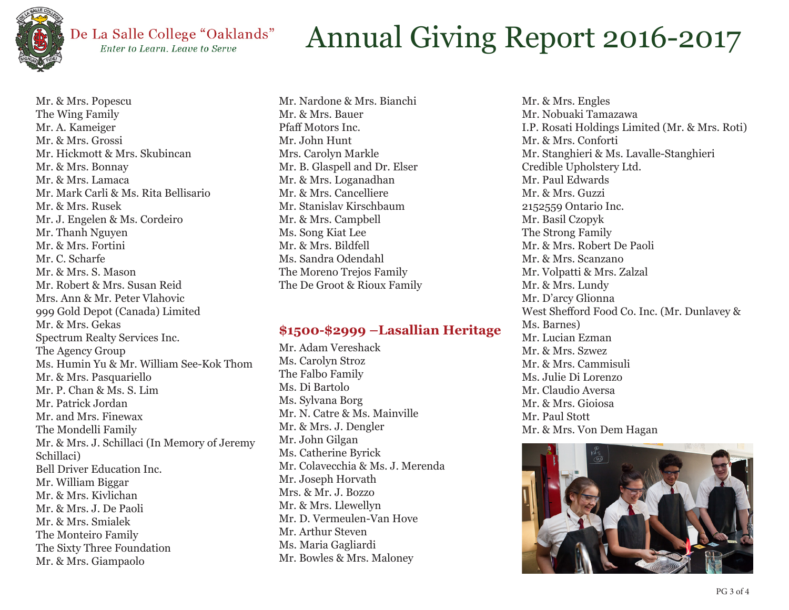

#### De La Salle College "Oaklands" Enter to Learn. Leave to Serve

## Annual Giving Report 2016-2017

Mr. & Mrs. Popescu The Wing Family Mr. A. Kameiger Mr. & Mrs. Grossi Mr. Hickmott & Mrs. Skubincan Mr. & Mrs. Bonnay Mr. & Mrs. Lamaca Mr. Mark Carli & Ms. Rita Bellisario Mr. & Mrs. Rusek Mr. J. Engelen & Ms. Cordeiro Mr. Thanh Nguyen Mr. & Mrs. Fortini Mr. C. Scharfe Mr. & Mrs. S. Mason Mr. Robert & Mrs. Susan Reid Mrs. Ann & Mr. Peter Vlahovic 999 Gold Depot (Canada) Limited Mr. & Mrs. Gekas Spectrum Realty Services Inc. The Agency Group Ms. Humin Yu & Mr. William See-Kok Thom Mr. & Mrs. Pasquariello Mr. P. Chan & Ms. S. Lim Mr. Patrick Jordan Mr. and Mrs. Finewax The Mondelli Family Mr. & Mrs. J. Schillaci (In Memory of Jeremy Schillaci) Bell Driver Education Inc. Mr. William Biggar Mr. & Mrs. Kivlichan Mr. & Mrs. J. De Paoli Mr. & Mrs. Smialek The Monteiro Family The Sixty Three Foundation Mr. & Mrs. Giampaolo

Mr. Nardone & Mrs. Bianchi Mr. & Mrs. Bauer Pfaff Motors Inc. Mr. John Hunt Mrs. Carolyn Markle Mr. B. Glaspell and Dr. Elser Mr. & Mrs. Loganadhan Mr. & Mrs. Cancelliere Mr. Stanislav Kirschbaum Mr. & Mrs. Campbell Ms. Song Kiat Lee Mr. & Mrs. Bildfell Ms. Sandra Odendahl The Moreno Trejos Family The De Groot & Rioux Family

### **\$1500-\$2999 –Lasallian Heritage**

Mr. Adam Vereshack Ms. Carolyn Stroz The Falbo Family Ms. Di Bartolo Ms. Sylvana Borg Mr. N. Catre & Ms. Mainville Mr. & Mrs. J. Dengler Mr. John Gilgan Ms. Catherine Byrick Mr. Colavecchia & Ms. J. Merenda Mr. Joseph Horvath Mrs. & Mr. J. Bozzo Mr. & Mrs. Llewellyn Mr. D. Vermeulen-Van Hove Mr. Arthur Steven Ms. Maria Gagliardi Mr. Bowles & Mrs. Maloney

Mr. & Mrs. Engles Mr. Nobuaki Tamazawa I.P. Rosati Holdings Limited (Mr. & Mrs. Roti) Mr. & Mrs. Conforti Mr. Stanghieri & Ms. Lavalle-Stanghieri Credible Upholstery Ltd. Mr. Paul Edwards Mr. & Mrs. Guzzi 2152559 Ontario Inc. Mr. Basil Czopyk The Strong Family Mr. & Mrs. Robert De Paoli Mr. & Mrs. Scanzano Mr. Volpatti & Mrs. Zalzal Mr. & Mrs. Lundy Mr. D'arcy Glionna West Shefford Food Co. Inc. (Mr. Dunlavey & Ms. Barnes) Mr. Lucian Ezman Mr. & Mrs. Szwez Mr. & Mrs. Cammisuli Ms. Julie Di Lorenzo Mr. Claudio Aversa Mr. & Mrs. Gioiosa Mr. Paul Stott Mr. & Mrs. Von Dem Hagan